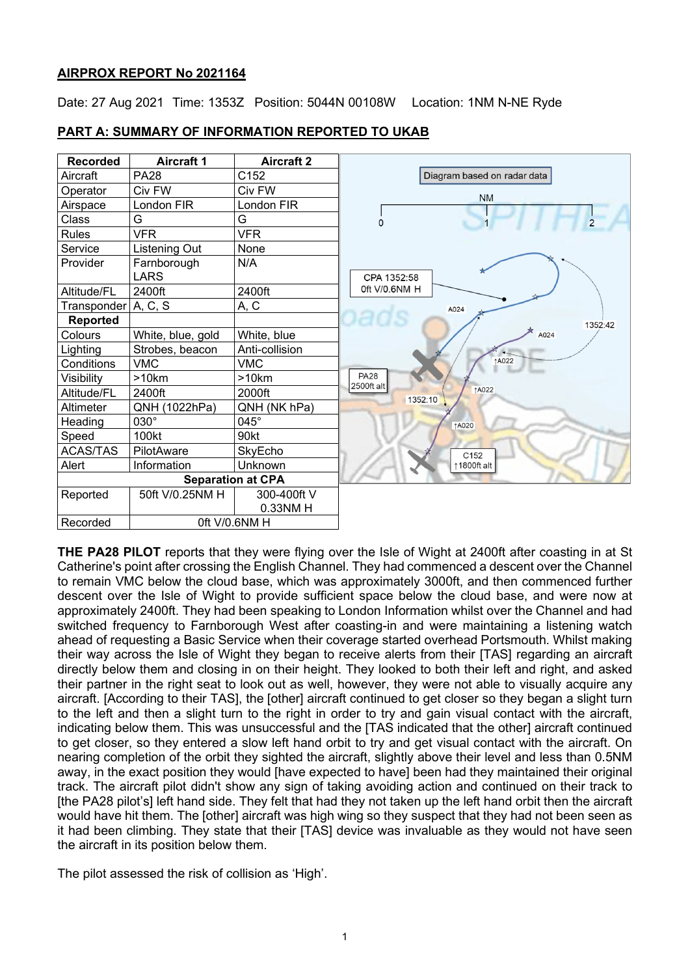## **AIRPROX REPORT No 2021164**

Date: 27 Aug 2021 Time: 1353Z Position: 5044N 00108W Location: 1NM N-NE Ryde

## **PART A: SUMMARY OF INFORMATION REPORTED TO UKAB**



**THE PA28 PILOT** reports that they were flying over the Isle of Wight at 2400ft after coasting in at St Catherine's point after crossing the English Channel. They had commenced a descent over the Channel to remain VMC below the cloud base, which was approximately 3000ft, and then commenced further descent over the Isle of Wight to provide sufficient space below the cloud base, and were now at approximately 2400ft. They had been speaking to London Information whilst over the Channel and had switched frequency to Farnborough West after coasting-in and were maintaining a listening watch ahead of requesting a Basic Service when their coverage started overhead Portsmouth. Whilst making their way across the Isle of Wight they began to receive alerts from their [TAS] regarding an aircraft directly below them and closing in on their height. They looked to both their left and right, and asked their partner in the right seat to look out as well, however, they were not able to visually acquire any aircraft. [According to their TAS], the [other] aircraft continued to get closer so they began a slight turn to the left and then a slight turn to the right in order to try and gain visual contact with the aircraft, indicating below them. This was unsuccessful and the [TAS indicated that the other] aircraft continued to get closer, so they entered a slow left hand orbit to try and get visual contact with the aircraft. On nearing completion of the orbit they sighted the aircraft, slightly above their level and less than 0.5NM away, in the exact position they would [have expected to have] been had they maintained their original track. The aircraft pilot didn't show any sign of taking avoiding action and continued on their track to [the PA28 pilot's] left hand side. They felt that had they not taken up the left hand orbit then the aircraft would have hit them. The [other] aircraft was high wing so they suspect that they had not been seen as it had been climbing. They state that their [TAS] device was invaluable as they would not have seen the aircraft in its position below them.

The pilot assessed the risk of collision as 'High'.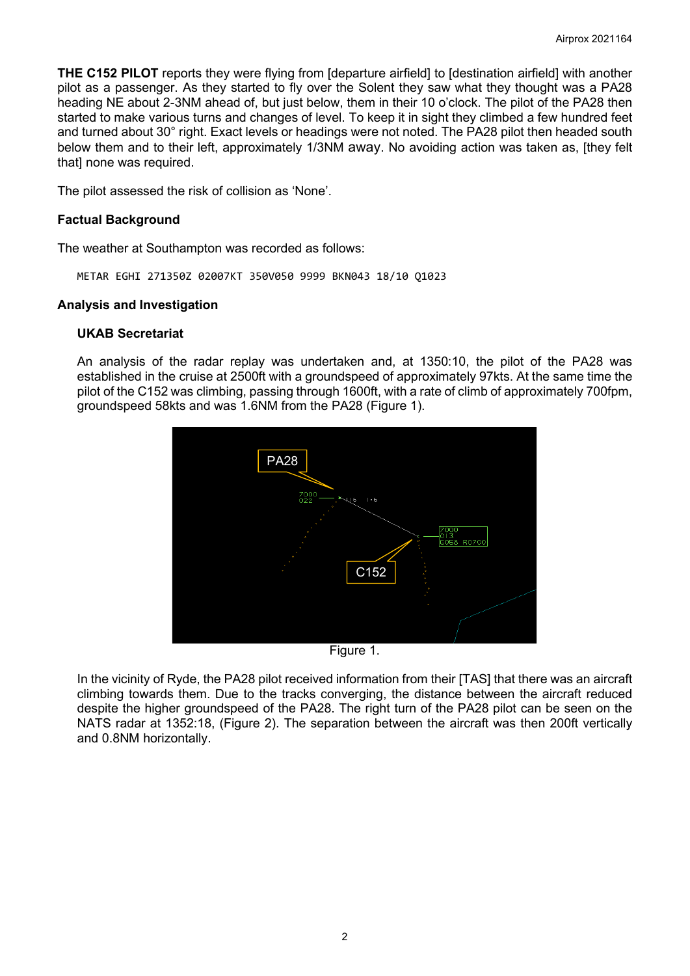**THE C152 PILOT** reports they were flying from [departure airfield] to [destination airfield] with another pilot as a passenger. As they started to fly over the Solent they saw what they thought was a PA28 heading NE about 2-3NM ahead of, but just below, them in their 10 o'clock. The pilot of the PA28 then started to make various turns and changes of level. To keep it in sight they climbed a few hundred feet and turned about 30° right. Exact levels or headings were not noted. The PA28 pilot then headed south below them and to their left, approximately 1/3NM away. No avoiding action was taken as, [they felt that] none was required.

The pilot assessed the risk of collision as 'None'.

## **Factual Background**

The weather at Southampton was recorded as follows:

METAR EGHI 271350Z 02007KT 350V050 9999 BKN043 18/10 Q1023

## **Analysis and Investigation**

## **UKAB Secretariat**

An analysis of the radar replay was undertaken and, at 1350:10, the pilot of the PA28 was established in the cruise at 2500ft with a groundspeed of approximately 97kts. At the same time the pilot of the C152 was climbing, passing through 1600ft, with a rate of climb of approximately 700fpm, groundspeed 58kts and was 1.6NM from the PA28 (Figure 1).



Figure 1.

In the vicinity of Ryde, the PA28 pilot received information from their [TAS] that there was an aircraft climbing towards them. Due to the tracks converging, the distance between the aircraft reduced despite the higher groundspeed of the PA28. The right turn of the PA28 pilot can be seen on the NATS radar at 1352:18, (Figure 2). The separation between the aircraft was then 200ft vertically and 0.8NM horizontally.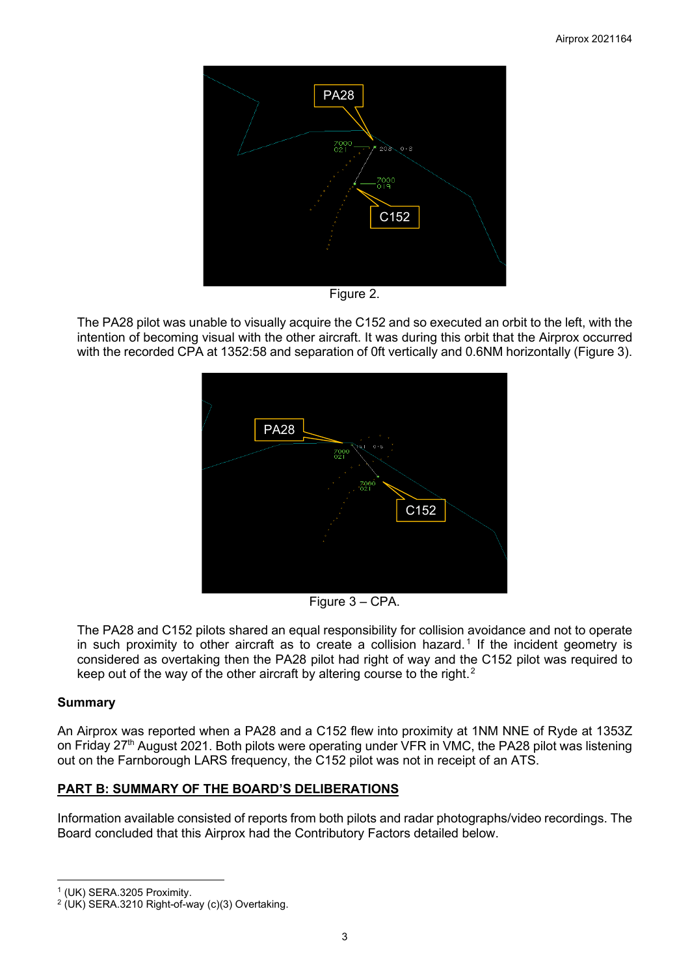

Figure 2.

The PA28 pilot was unable to visually acquire the C152 and so executed an orbit to the left, with the intention of becoming visual with the other aircraft. It was during this orbit that the Airprox occurred with the recorded CPA at 1352:58 and separation of 0ft vertically and 0.6NM horizontally (Figure 3).



Figure 3 – CPA.

The PA28 and C152 pilots shared an equal responsibility for collision avoidance and not to operate in such proximity to other aircraft as to create a collision hazard.<sup>[1](#page-2-0)</sup> If the incident geometry is considered as overtaking then the PA28 pilot had right of way and the C152 pilot was required to keep out of the way of the other aircraft by altering course to the right.<sup>[2](#page-2-1)</sup>

# **Summary**

An Airprox was reported when a PA28 and a C152 flew into proximity at 1NM NNE of Ryde at 1353Z on Friday 27<sup>th</sup> August 2021. Both pilots were operating under VFR in VMC, the PA28 pilot was listening out on the Farnborough LARS frequency, the C152 pilot was not in receipt of an ATS.

# **PART B: SUMMARY OF THE BOARD'S DELIBERATIONS**

Information available consisted of reports from both pilots and radar photographs/video recordings. The Board concluded that this Airprox had the Contributory Factors detailed below.

<span id="page-2-0"></span><sup>1</sup> (UK) SERA.3205 Proximity.

<span id="page-2-1"></span> $2$  (UK) SERA.3210 Right-of-way (c)(3) Overtaking.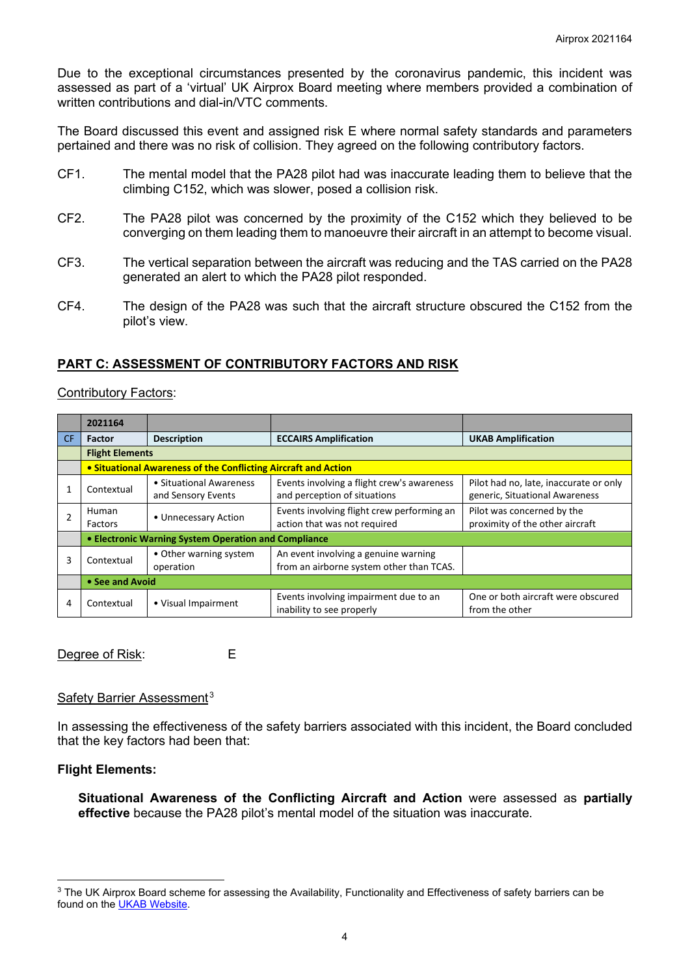Due to the exceptional circumstances presented by the coronavirus pandemic, this incident was assessed as part of a 'virtual' UK Airprox Board meeting where members provided a combination of written contributions and dial-in/VTC comments.

The Board discussed this event and assigned risk E where normal safety standards and parameters pertained and there was no risk of collision. They agreed on the following contributory factors.

- CF1. The mental model that the PA28 pilot had was inaccurate leading them to believe that the climbing C152, which was slower, posed a collision risk.
- CF2. The PA28 pilot was concerned by the proximity of the C152 which they believed to be converging on them leading them to manoeuvre their aircraft in an attempt to become visual.
- CF3. The vertical separation between the aircraft was reducing and the TAS carried on the PA28 generated an alert to which the PA28 pilot responded.
- CF4. The design of the PA28 was such that the aircraft structure obscured the C152 from the pilot's view.

## **PART C: ASSESSMENT OF CONTRIBUTORY FACTORS AND RISK**

### Contributory Factors:

|    | 2021164                                                        |                                                                                                                         |                                                                            |                                                                          |  |  |  |  |  |  |
|----|----------------------------------------------------------------|-------------------------------------------------------------------------------------------------------------------------|----------------------------------------------------------------------------|--------------------------------------------------------------------------|--|--|--|--|--|--|
| CF | <b>Factor</b>                                                  | <b>Description</b>                                                                                                      | <b>ECCAIRS Amplification</b>                                               | <b>UKAB Amplification</b>                                                |  |  |  |  |  |  |
|    | <b>Flight Elements</b>                                         |                                                                                                                         |                                                                            |                                                                          |  |  |  |  |  |  |
|    | • Situational Awareness of the Conflicting Aircraft and Action |                                                                                                                         |                                                                            |                                                                          |  |  |  |  |  |  |
|    | Contextual                                                     | • Situational Awareness<br>and Sensory Events                                                                           | Events involving a flight crew's awareness<br>and perception of situations | Pilot had no, late, inaccurate or only<br>generic, Situational Awareness |  |  |  |  |  |  |
|    | Human<br>Factors                                               | • Unnecessary Action                                                                                                    | Events involving flight crew performing an<br>action that was not required | Pilot was concerned by the<br>proximity of the other aircraft            |  |  |  |  |  |  |
|    | • Electronic Warning System Operation and Compliance           |                                                                                                                         |                                                                            |                                                                          |  |  |  |  |  |  |
| 3  | Contextual                                                     | An event involving a genuine warning<br>• Other warning system<br>from an airborne system other than TCAS.<br>operation |                                                                            |                                                                          |  |  |  |  |  |  |
|    | • See and Avoid                                                |                                                                                                                         |                                                                            |                                                                          |  |  |  |  |  |  |
| 4  | Contextual                                                     | • Visual Impairment                                                                                                     | Events involving impairment due to an<br>inability to see properly         | One or both aircraft were obscured<br>from the other                     |  |  |  |  |  |  |

Degree of Risk: E

### Safety Barrier Assessment<sup>[3](#page-3-0)</sup>

In assessing the effectiveness of the safety barriers associated with this incident, the Board concluded that the key factors had been that:

### **Flight Elements:**

**Situational Awareness of the Conflicting Aircraft and Action** were assessed as **partially effective** because the PA28 pilot's mental model of the situation was inaccurate.

<span id="page-3-0"></span><sup>&</sup>lt;sup>3</sup> The UK Airprox Board scheme for assessing the Availability, Functionality and Effectiveness of safety barriers can be found on the [UKAB Website.](http://www.airproxboard.org.uk/Learn-more/Airprox-Barrier-Assessment/)